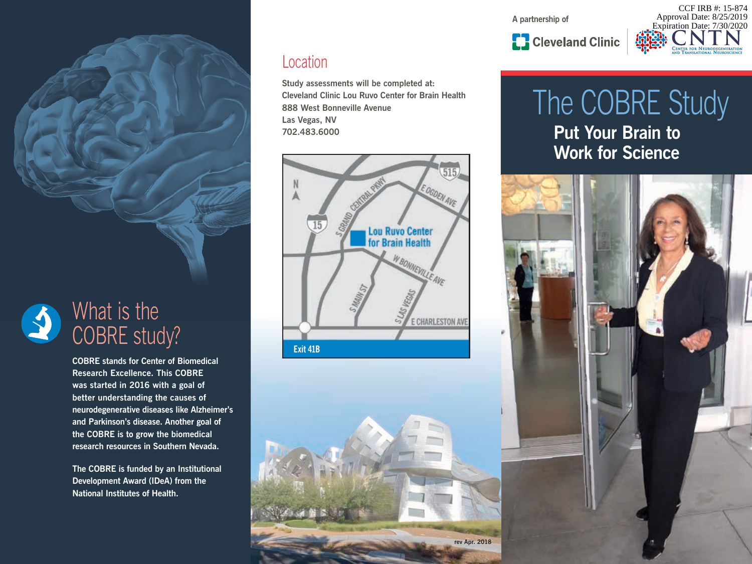**A partnership of**



## The COBRE Study **Put Your Brain to Work for Science**



### Location

**Study assessments will be completed at: Cleveland Clinic Lou Ruvo Center for Brain Health 888 West Bonneville Avenue Las Vegas, NV 702.483.6000**





### What is the COBRE study?

**COBRE stands for Center of Biomedical Research Excellence. This COBRE was started in 2016 with a goal of better understanding the causes of neurodegenerative diseases like Alzheimer's and Parkinson's disease. Another goal of the COBRE is to grow the biomedical research resources in Southern Nevada.**

**The COBRE is funded by an Institutional Development Award (IDeA) from the National Institutes of Health.**